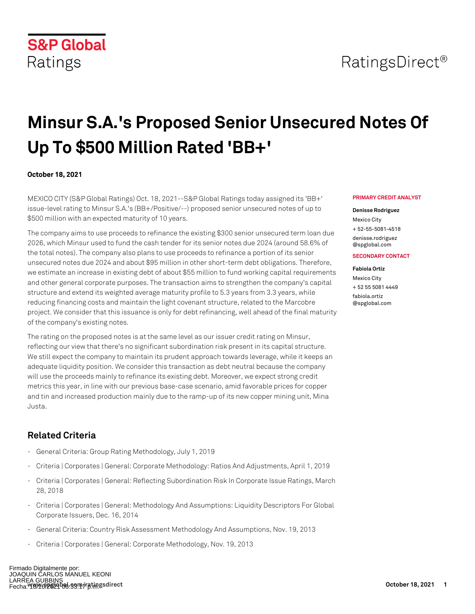

# **Minsur S.A.'s Proposed Senior Unsecured Notes Of Up To \$500 Million Rated 'BB+'**

## **October 18, 2021**

MEXICO CITY (S&P Global Ratings) Oct. 18, 2021--S&P Global Ratings today assigned its 'BB+' issue-level rating to Minsur S.A.'s (BB+/Positive/--) proposed senior unsecured notes of up to \$500 million with an expected maturity of 10 years.

The company aims to use proceeds to refinance the existing \$300 senior unsecured term loan due 2026, which Minsur used to fund the cash tender for its senior notes due 2024 (around 58.6% of the total notes). The company also plans to use proceeds to refinance a portion of its senior unsecured notes due 2024 and about \$95 million in other short-term debt obligations. Therefore, we estimate an increase in existing debt of about \$55 million to fund working capital requirements and other general corporate purposes. The transaction aims to strengthen the company's capital structure and extend its weighted average maturity profile to 5.3 years from 3.3 years, while reducing financing costs and maintain the light covenant structure, related to the Marcobre project. We consider that this issuance is only for debt refinancing, well ahead of the final maturity of the company's existing notes.

The rating on the proposed notes is at the same level as our issuer credit rating on Minsur, reflecting our view that there's no significant subordination risk present in its capital structure. We still expect the company to maintain its prudent approach towards leverage, while it keeps an adequate liquidity position. We consider this transaction as debt neutral because the company will use the proceeds mainly to refinance its existing debt. Moreover, we expect strong credit metrics this year, in line with our previous base-case scenario, amid favorable prices for copper and tin and increased production mainly due to the ramp-up of its new copper mining unit, Mina Justa.

# **Related Criteria**

- General Criteria: Group Rating Methodology, July 1, 2019
- Criteria | Corporates | General: Corporate Methodology: Ratios And Adjustments, April 1, 2019
- Criteria | Corporates | General: Reflecting Subordination Risk In Corporate Issue Ratings, March 28, 2018
- Criteria | Corporates | General: Methodology And Assumptions: Liquidity Descriptors For Global Corporate Issuers, Dec. 16, 2014
- General Criteria: Country Risk Assessment Methodology And Assumptions, Nov. 19, 2013
- Criteria | Corporates | General: Corporate Methodology, Nov. 19, 2013

#### **PRIMARY CREDIT ANALYST**

#### **Denisse Rodriguez**

Mexico City + 52-55-5081-4518 [denisse.rodriguez](mailto: denisse.rodriguez@spglobal.com) [@spglobal.com](mailto: denisse.rodriguez@spglobal.com)

#### **SECONDARY CONTACT**

#### **Fabiola Ortiz**

Mexico City + 52 55 5081 4449 [fabiola.ortiz](mailto: fabiola.ortiz@spglobal.com) [@spglobal.com](mailto: fabiola.ortiz@spglobal.com)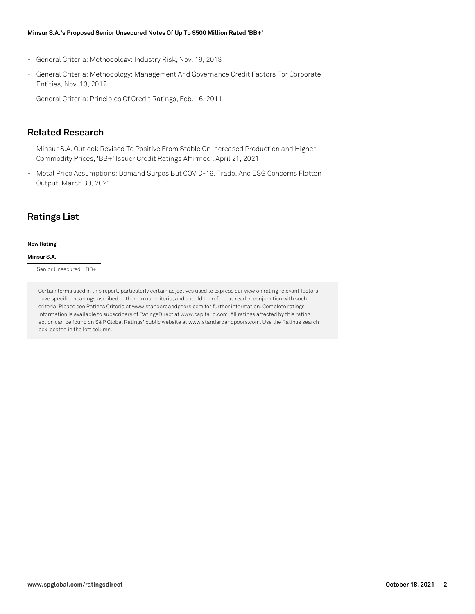#### **Minsur S.A.'s Proposed Senior Unsecured Notes Of Up To \$500 Million Rated 'BB+'**

- General Criteria: Methodology: Industry Risk, Nov. 19, 2013
- General Criteria: Methodology: Management And Governance Credit Factors For Corporate Entities, Nov. 13, 2012
- General Criteria: Principles Of Credit Ratings, Feb. 16, 2011

## **Related Research**

- Minsur S.A. Outlook Revised To Positive From Stable On Increased Production and Higher Commodity Prices, 'BB+' Issuer Credit Ratings Affirmed , April 21, 2021
- Metal Price Assumptions: Demand Surges But COVID-19, Trade, And ESG Concerns Flatten Output, March 30, 2021

# **Ratings List**

#### **New Rating**

### **Minsur S.A.**

Senior Unsecured BB+

Certain terms used in this report, particularly certain adjectives used to express our view on rating relevant factors, have specific meanings ascribed to them in our criteria, and should therefore be read in conjunction with such criteria. Please see Ratings Criteria at www.standardandpoors.com for further information. Complete ratings information is available to subscribers of RatingsDirect at www.capitaliq.com. All ratings affected by this rating action can be found on S&P Global Ratings' public website at www.standardandpoors.com. Use the Ratings search box located in the left column.